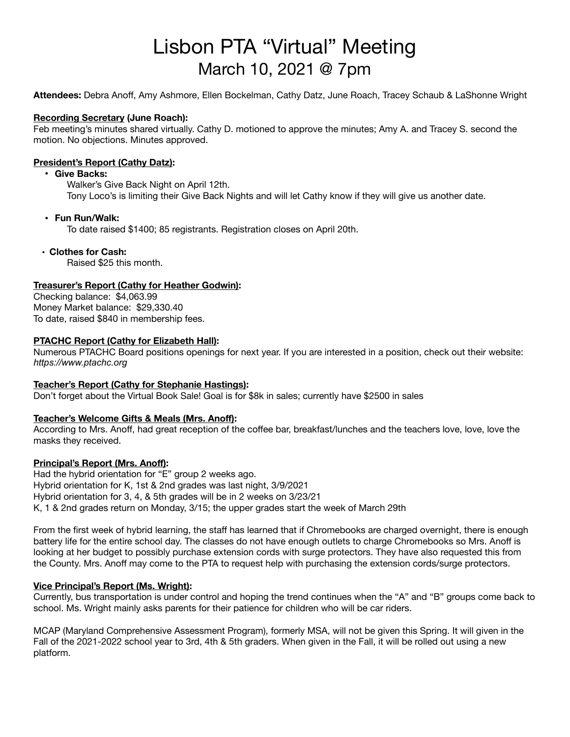# Lisbon PTA "Virtual" Meeting March 10, 2021 @ 7pm

**Attendees:** Debra Anoff, Amy Ashmore, Ellen Bockelman, Cathy Datz, June Roach, Tracey Schaub & LaShonne Wright

## **Recording Secretary (June Roach):**

Feb meeting's minutes shared virtually. Cathy D. motioned to approve the minutes; Amy A. and Tracey S. second the motion. No objections. Minutes approved.

## **President's Report (Cathy Datz):**

## **• Give Backs:**

Walker's Give Back Night on April 12th. Tony Loco's is limiting their Give Back Nights and will let Cathy know if they will give us another date.

## **• Fun Run/Walk:**

To date raised \$1400; 85 registrants. Registration closes on April 20th.

## **• Clothes for Cash:**

Raised \$25 this month.

## **Treasurer's Report (Cathy for Heather Godwin):**

Checking balance: \$4,063.99 Money Market balance: \$29,330.40 To date, raised \$840 in membership fees.

## **PTACHC Report (Cathy for Elizabeth Hall):**

Numerous PTACHC Board positions openings for next year. If you are interested in a position, check out their website: *https://www.ptachc.org* 

## **Teacher's Report (Cathy for Stephanie Hastings):**

Don't forget about the Virtual Book Sale! Goal is for \$8k in sales; currently have \$2500 in sales

## **Teacher's Welcome Gifts & Meals (Mrs. Anoff):**

According to Mrs. Anoff, had great reception of the coffee bar, breakfast/lunches and the teachers love, love, love the masks they received.

## **Principal's Report (Mrs. Anoff):**

Had the hybrid orientation for "E" group 2 weeks ago. Hybrid orientation for K, 1st & 2nd grades was last night, 3/9/2021 Hybrid orientation for 3, 4, & 5th grades will be in 2 weeks on 3/23/21 K, 1 & 2nd grades return on Monday, 3/15; the upper grades start the week of March 29th

From the first week of hybrid learning, the staff has learned that if Chromebooks are charged overnight, there is enough battery life for the entire school day. The classes do not have enough outlets to charge Chromebooks so Mrs. Anoff is looking at her budget to possibly purchase extension cords with surge protectors. They have also requested this from the County. Mrs. Anoff may come to the PTA to request help with purchasing the extension cords/surge protectors.

## **Vice Principal's Report (Ms. Wright):**

Currently, bus transportation is under control and hoping the trend continues when the "A" and "B" groups come back to school. Ms. Wright mainly asks parents for their patience for children who will be car riders.

MCAP (Maryland Comprehensive Assessment Program), formerly MSA, will not be given this Spring. It will given in the Fall of the 2021-2022 school year to 3rd, 4th & 5th graders. When given in the Fall, it will be rolled out using a new platform.